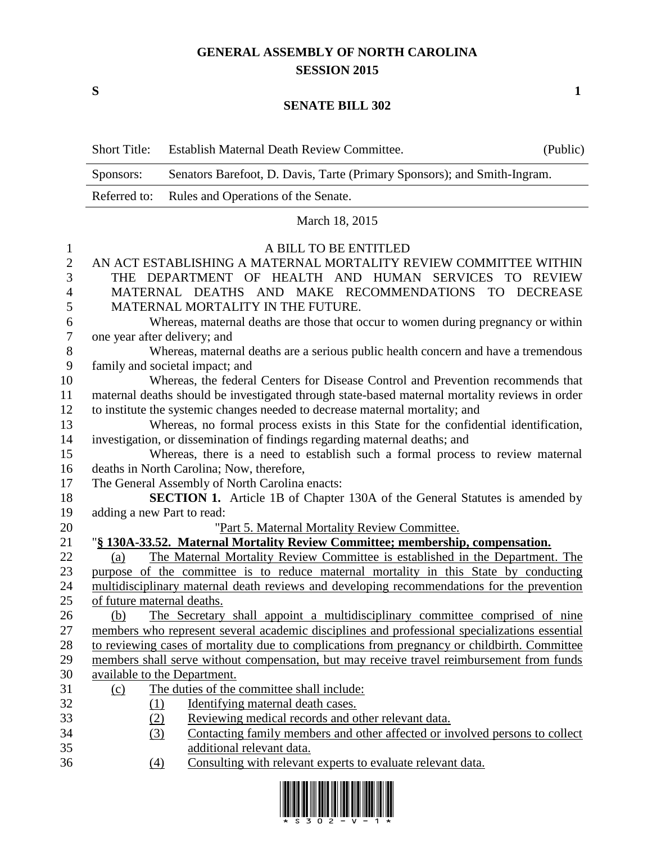## **GENERAL ASSEMBLY OF NORTH CAROLINA SESSION 2015**

**S 1**

## **SENATE BILL 302**

|                  | <b>Short Title:</b>                                                                            | Establish Maternal Death Review Committee.                                                    | (Public) |  |  |
|------------------|------------------------------------------------------------------------------------------------|-----------------------------------------------------------------------------------------------|----------|--|--|
|                  | Senators Barefoot, D. Davis, Tarte (Primary Sponsors); and Smith-Ingram.<br>Sponsors:          |                                                                                               |          |  |  |
|                  | Referred to:                                                                                   | Rules and Operations of the Senate.                                                           |          |  |  |
|                  | March 18, 2015                                                                                 |                                                                                               |          |  |  |
| 1                | A BILL TO BE ENTITLED                                                                          |                                                                                               |          |  |  |
| $\overline{2}$   | AN ACT ESTABLISHING A MATERNAL MORTALITY REVIEW COMMITTEE WITHIN                               |                                                                                               |          |  |  |
| 3                | THE DEPARTMENT OF HEALTH AND HUMAN SERVICES TO REVIEW                                          |                                                                                               |          |  |  |
| 4                | MATERNAL DEATHS AND MAKE RECOMMENDATIONS TO DECREASE                                           |                                                                                               |          |  |  |
| 5                | MATERNAL MORTALITY IN THE FUTURE.                                                              |                                                                                               |          |  |  |
| 6                | Whereas, maternal deaths are those that occur to women during pregnancy or within              |                                                                                               |          |  |  |
| $\boldsymbol{7}$ | one year after delivery; and                                                                   |                                                                                               |          |  |  |
| 8                | Whereas, maternal deaths are a serious public health concern and have a tremendous             |                                                                                               |          |  |  |
| 9                | family and societal impact; and                                                                |                                                                                               |          |  |  |
| 10               | Whereas, the federal Centers for Disease Control and Prevention recommends that                |                                                                                               |          |  |  |
| 11               | maternal deaths should be investigated through state-based maternal mortality reviews in order |                                                                                               |          |  |  |
| 12               | to institute the systemic changes needed to decrease maternal mortality; and                   |                                                                                               |          |  |  |
| 13               | Whereas, no formal process exists in this State for the confidential identification,           |                                                                                               |          |  |  |
| 14               | investigation, or dissemination of findings regarding maternal deaths; and                     |                                                                                               |          |  |  |
| 15               | Whereas, there is a need to establish such a formal process to review maternal                 |                                                                                               |          |  |  |
| 16               | deaths in North Carolina; Now, therefore,                                                      |                                                                                               |          |  |  |
| 17               | The General Assembly of North Carolina enacts:                                                 |                                                                                               |          |  |  |
| 18               | <b>SECTION 1.</b> Article 1B of Chapter 130A of the General Statutes is amended by             |                                                                                               |          |  |  |
| 19               | adding a new Part to read:                                                                     |                                                                                               |          |  |  |
| 20               |                                                                                                | "Part 5. Maternal Mortality Review Committee.                                                 |          |  |  |
| 21               | "§ 130A-33.52. Maternal Mortality Review Committee; membership, compensation.                  |                                                                                               |          |  |  |
| 22               | (a)                                                                                            | The Maternal Mortality Review Committee is established in the Department. The                 |          |  |  |
| 23               | purpose of the committee is to reduce maternal mortality in this State by conducting           |                                                                                               |          |  |  |
| 24               | multidisciplinary maternal death reviews and developing recommendations for the prevention     |                                                                                               |          |  |  |
| 25               | of future maternal deaths.                                                                     |                                                                                               |          |  |  |
| 26               | (b)                                                                                            | The Secretary shall appoint a multidisciplinary committee comprised of nine                   |          |  |  |
| 27               |                                                                                                | members who represent several academic disciplines and professional specializations essential |          |  |  |
| 28               | to reviewing cases of mortality due to complications from pregnancy or childbirth. Committee   |                                                                                               |          |  |  |
| 29               | members shall serve without compensation, but may receive travel reimbursement from funds      |                                                                                               |          |  |  |
| 30               | available to the Department.                                                                   |                                                                                               |          |  |  |
| 31               | <u>(c)</u>                                                                                     | The duties of the committee shall include:                                                    |          |  |  |
| 32               | (1)                                                                                            | Identifying maternal death cases.                                                             |          |  |  |
| 33               | (2)                                                                                            | Reviewing medical records and other relevant data.                                            |          |  |  |
| 34               | Contacting family members and other affected or involved persons to collect<br>(3)             |                                                                                               |          |  |  |
| 35               | additional relevant data.                                                                      |                                                                                               |          |  |  |
| 36               | (4)                                                                                            | Consulting with relevant experts to evaluate relevant data.                                   |          |  |  |